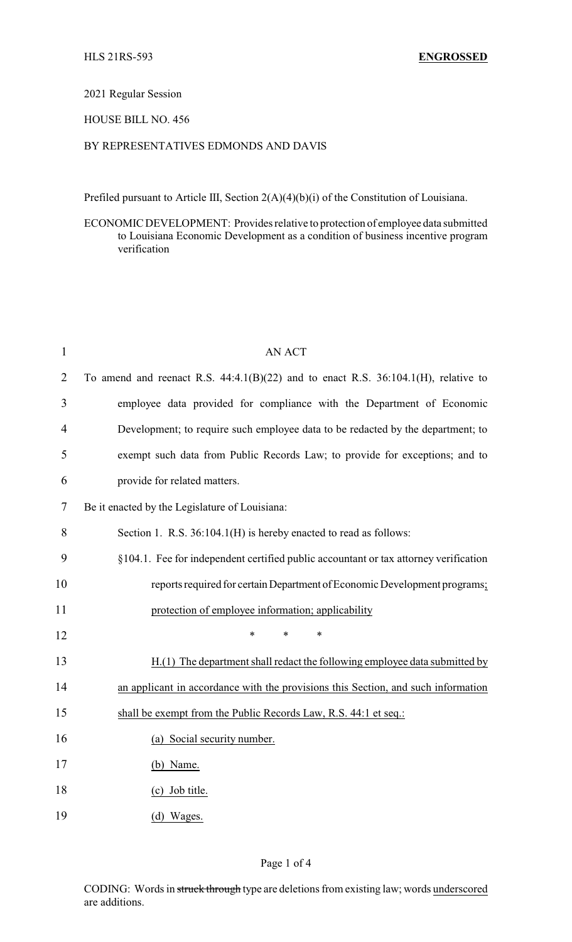## 2021 Regular Session

## HOUSE BILL NO. 456

## BY REPRESENTATIVES EDMONDS AND DAVIS

Prefiled pursuant to Article III, Section 2(A)(4)(b)(i) of the Constitution of Louisiana.

ECONOMIC DEVELOPMENT: Provides relative to protection of employee data submitted to Louisiana Economic Development as a condition of business incentive program verification

| $\mathbf{1}$   | <b>AN ACT</b>                                                                           |
|----------------|-----------------------------------------------------------------------------------------|
| $\overline{2}$ | To amend and reenact R.S. $44:4.1(B)(22)$ and to enact R.S. $36:104.1(H)$ , relative to |
| 3              | employee data provided for compliance with the Department of Economic                   |
| 4              | Development; to require such employee data to be redacted by the department; to         |
| 5              | exempt such data from Public Records Law; to provide for exceptions; and to             |
| 6              | provide for related matters.                                                            |
| 7              | Be it enacted by the Legislature of Louisiana:                                          |
| 8              | Section 1. R.S. 36:104.1(H) is hereby enacted to read as follows:                       |
| 9              | §104.1. Fee for independent certified public accountant or tax attorney verification    |
| 10             | reports required for certain Department of Economic Development programs;               |
| 11             | protection of employee information; applicability                                       |
| 12             | *<br>*<br>*                                                                             |
| 13             | $H(1)$ The department shall redact the following employee data submitted by             |
| 14             | an applicant in accordance with the provisions this Section, and such information       |
| 15             | shall be exempt from the Public Records Law, R.S. 44:1 et seq.:                         |
| 16             | (a) Social security number.                                                             |
| 17             | (b) Name.                                                                               |
| 18             | (c) Job title.                                                                          |
| 19             | (d) Wages.                                                                              |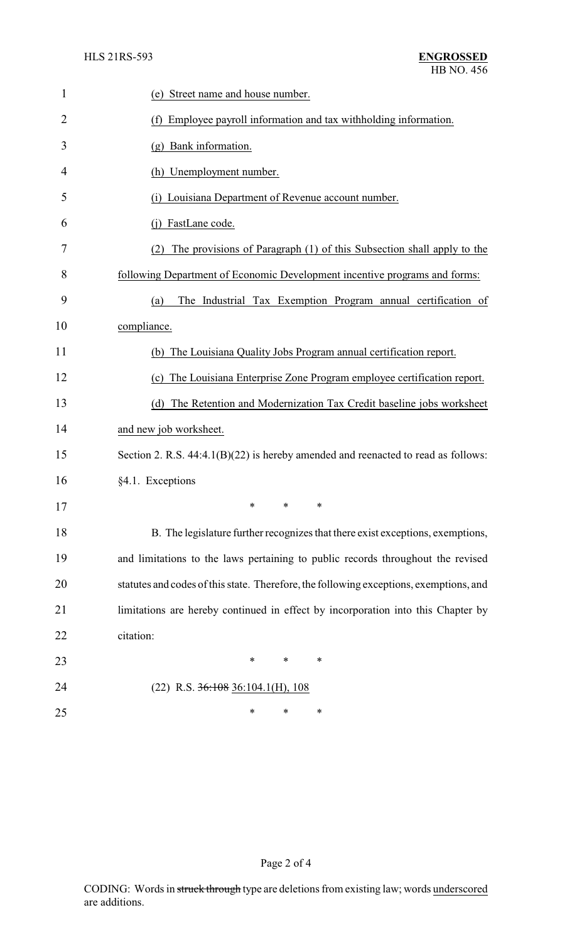| $\mathbf{1}$   | (e) Street name and house number.                                                      |
|----------------|----------------------------------------------------------------------------------------|
| $\overline{2}$ | (f) Employee payroll information and tax withholding information.                      |
| 3              | (g) Bank information.                                                                  |
| 4              | (h) Unemployment number.                                                               |
| 5              | Louisiana Department of Revenue account number.<br>(i)                                 |
| 6              | FastLane code.                                                                         |
| 7              | The provisions of Paragraph (1) of this Subsection shall apply to the<br>(2)           |
| 8              | following Department of Economic Development incentive programs and forms:             |
| 9              | The Industrial Tax Exemption Program annual certification of<br>(a)                    |
| 10             | compliance.                                                                            |
| 11             | (b) The Louisiana Quality Jobs Program annual certification report.                    |
| 12             | (c) The Louisiana Enterprise Zone Program employee certification report.               |
| 13             | The Retention and Modernization Tax Credit baseline jobs worksheet<br>(d)              |
| 14             | and new job worksheet.                                                                 |
| 15             | Section 2. R.S. 44:4.1(B)(22) is hereby amended and reenacted to read as follows:      |
| 16             | §4.1. Exceptions                                                                       |
| 17             | ∗<br>∗<br>∗                                                                            |
| 18             | B. The legislature further recognizes that there exist exceptions, exemptions,         |
| 19             | and limitations to the laws pertaining to public records throughout the revised        |
| 20             | statutes and codes of this state. Therefore, the following exceptions, exemptions, and |
| 21             | limitations are hereby continued in effect by incorporation into this Chapter by       |
| 22             | citation:                                                                              |
| 23             | *<br>$\ast$<br>∗                                                                       |
| 24             | $(22)$ R.S. $36:108$ 36:104.1(H), 108                                                  |
| 25             | ∗<br>∗<br>∗                                                                            |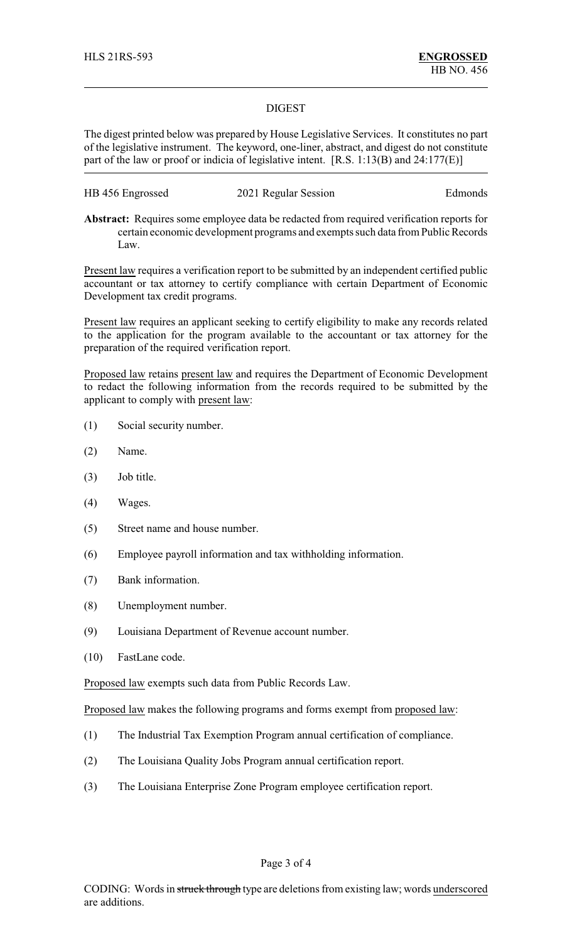## DIGEST

The digest printed below was prepared by House Legislative Services. It constitutes no part of the legislative instrument. The keyword, one-liner, abstract, and digest do not constitute part of the law or proof or indicia of legislative intent. [R.S. 1:13(B) and 24:177(E)]

| HB 456 Engrossed | 2021 Regular Session | Edmonds |
|------------------|----------------------|---------|
|------------------|----------------------|---------|

**Abstract:** Requires some employee data be redacted from required verification reports for certain economic development programs and exempts such data from Public Records Law.

Present law requires a verification report to be submitted by an independent certified public accountant or tax attorney to certify compliance with certain Department of Economic Development tax credit programs.

Present law requires an applicant seeking to certify eligibility to make any records related to the application for the program available to the accountant or tax attorney for the preparation of the required verification report.

Proposed law retains present law and requires the Department of Economic Development to redact the following information from the records required to be submitted by the applicant to comply with present law:

- (1) Social security number.
- (2) Name.
- (3) Job title.
- (4) Wages.
- (5) Street name and house number.
- (6) Employee payroll information and tax withholding information.
- (7) Bank information.
- (8) Unemployment number.
- (9) Louisiana Department of Revenue account number.
- (10) FastLane code.

Proposed law exempts such data from Public Records Law.

Proposed law makes the following programs and forms exempt from proposed law:

- (1) The Industrial Tax Exemption Program annual certification of compliance.
- (2) The Louisiana Quality Jobs Program annual certification report.
- (3) The Louisiana Enterprise Zone Program employee certification report.